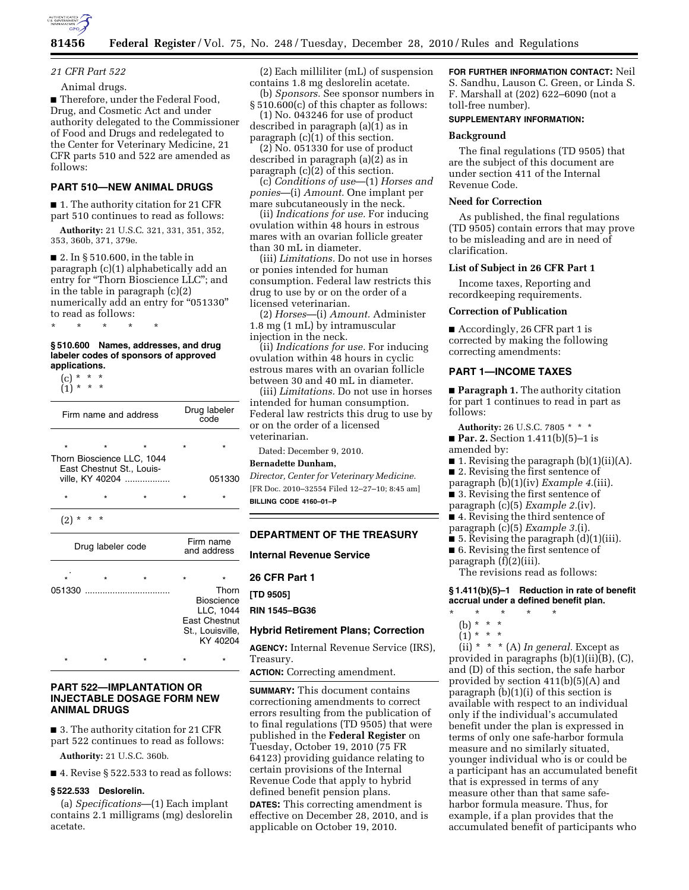

# *21 CFR Part 522*

### Animal drugs.

■ Therefore, under the Federal Food, Drug, and Cosmetic Act and under authority delegated to the Commissioner of Food and Drugs and redelegated to the Center for Veterinary Medicine, 21 CFR parts 510 and 522 are amended as follows:

# **PART 510—NEW ANIMAL DRUGS**

■ 1. The authority citation for 21 CFR part 510 continues to read as follows:

**Authority:** 21 U.S.C. 321, 331, 351, 352, 353, 360b, 371, 379e.

■ 2. In § 510.600, in the table in paragraph (c)(1) alphabetically add an entry for "Thorn Bioscience LLC"; and in the table in paragraph (c)(2) numerically add an entry for "051330" to read as follows:

\* \* \* \* \*

#### **§ 510.600 Names, addresses, and drug labeler codes of sponsors of approved applications.**

(c) \* \* \* (1) \* \* \*

| Firm name and address                                                      |                   |         | Drug labeler<br>code |                                                                                                 |
|----------------------------------------------------------------------------|-------------------|---------|----------------------|-------------------------------------------------------------------------------------------------|
| $\star$                                                                    |                   | $\star$ |                      |                                                                                                 |
| Thorn Bioscience LLC, 1044<br>East Chestnut St., Louis-<br>ville, KY 40204 |                   |         |                      | 051330                                                                                          |
| $\star$                                                                    |                   |         | $\star$              |                                                                                                 |
| (2)                                                                        |                   |         |                      |                                                                                                 |
|                                                                            |                   |         |                      |                                                                                                 |
|                                                                            | Drug labeler code |         |                      | Firm name<br>and address                                                                        |
|                                                                            | $\star$           |         |                      |                                                                                                 |
| 051330                                                                     |                   |         |                      | Thorn<br><b>Bioscience</b><br>LLC, 1044<br><b>East Chestnut</b><br>St., Louisville,<br>KY 40204 |

### **PART 522—IMPLANTATION OR INJECTABLE DOSAGE FORM NEW ANIMAL DRUGS**

■ 3. The authority citation for 21 CFR part 522 continues to read as follows:

**Authority:** 21 U.S.C. 360b.

■ 4. Revise § 522.533 to read as follows:

#### **§ 522.533 Deslorelin.**

(a) *Specifications*—(1) Each implant contains 2.1 milligrams (mg) deslorelin acetate.

(2) Each milliliter (mL) of suspension contains 1.8 mg deslorelin acetate.

(b) *Sponsors.* See sponsor numbers in § 510.600(c) of this chapter as follows:

(1) No. 043246 for use of product described in paragraph (a)(1) as in paragraph (c)(1) of this section.

 $(2)$  No. 051330 for use of product described in paragraph (a)(2) as in paragraph (c)(2) of this section.

(c) *Conditions of use*—(1) *Horses and ponies*—(i) *Amount.* One implant per mare subcutaneously in the neck.

(ii) *Indications for use.* For inducing ovulation within 48 hours in estrous mares with an ovarian follicle greater than 30 mL in diameter.

(iii) *Limitations.* Do not use in horses or ponies intended for human consumption. Federal law restricts this drug to use by or on the order of a licensed veterinarian.

(2) *Horses*—(i) *Amount.* Administer 1.8 mg (1 mL) by intramuscular injection in the neck.

(ii) *Indications for use.* For inducing ovulation within 48 hours in cyclic estrous mares with an ovarian follicle between 30 and 40 mL in diameter.

(iii) *Limitations.* Do not use in horses intended for human consumption. Federal law restricts this drug to use by or on the order of a licensed veterinarian.

Dated: December 9, 2010.

#### **Bernadette Dunham,**

*Director, Center for Veterinary Medicine.*  [FR Doc. 2010–32554 Filed 12–27–10; 8:45 am] **BILLING CODE 4160–01–P** 

### **DEPARTMENT OF THE TREASURY**

# **Internal Revenue Service**

**26 CFR Part 1** 

**[TD 9505]** 

**RIN 1545–BG36** 

### **Hybrid Retirement Plans; Correction**

**AGENCY:** Internal Revenue Service (IRS), Treasury.

**ACTION:** Correcting amendment.

**SUMMARY:** This document contains correctioning amendments to correct errors resulting from the publication of to final regulations (TD 9505) that were published in the **Federal Register** on Tuesday, October 19, 2010 (75 FR 64123) providing guidance relating to certain provisions of the Internal Revenue Code that apply to hybrid defined benefit pension plans.

**DATES:** This correcting amendment is effective on December 28, 2010, and is applicable on October 19, 2010.

#### **FOR FURTHER INFORMATION CONTACT:** Neil

S. Sandhu, Lauson C. Green, or Linda S. F. Marshall at (202) 622–6090 (not a toll-free number).

## **SUPPLEMENTARY INFORMATION:**

### **Background**

The final regulations (TD 9505) that are the subject of this document are under section 411 of the Internal Revenue Code.

#### **Need for Correction**

As published, the final regulations (TD 9505) contain errors that may prove to be misleading and are in need of clarification.

#### **List of Subject in 26 CFR Part 1**

Income taxes, Reporting and recordkeeping requirements.

#### **Correction of Publication**

■ Accordingly, 26 CFR part 1 is corrected by making the following correcting amendments:

### **PART 1—INCOME TAXES**

■ **Paragraph 1.** The authority citation for part 1 continues to read in part as follows:

**Authority:** 26 U.S.C. 7805 \* \* \*

■ **Par. 2.** Section 1.411(b)(5)–1 is amended by:

■ 1. Revising the paragraph (b)(1)(ii)(A).

■ 2. Revising the first sentence of

- paragraph (b)(1)(iv) *Example 4.*(iii).
- 3. Revising the first sentence of
- paragraph (c)(5) *Example 2.*(iv).
- 4. Revising the third sentence of
- paragraph (c)(5) *Example 3.*(i).
- $\blacksquare$  5. Revising the paragraph  $(d)(1)(iii)$ .
- 6. Revising the first sentence of
- paragraph (f)(2)(iii).

The revisions read as follows:

**§ 1.411(b)(5)–1 Reduction in rate of benefit accrual under a defined benefit plan.** 

- \* \* \* \* \*
	- (b) \* \* \*
	- $(1) * * * *$

(ii) \* \* \* (A) *In general.* Except as provided in paragraphs (b)(1)(ii)(B), (C), and (D) of this section, the safe harbor provided by section 411(b)(5)(A) and paragraph (b)(1)(i) of this section is available with respect to an individual only if the individual's accumulated benefit under the plan is expressed in terms of only one safe-harbor formula measure and no similarly situated, younger individual who is or could be a participant has an accumulated benefit that is expressed in terms of any measure other than that same safeharbor formula measure. Thus, for example, if a plan provides that the accumulated benefit of participants who